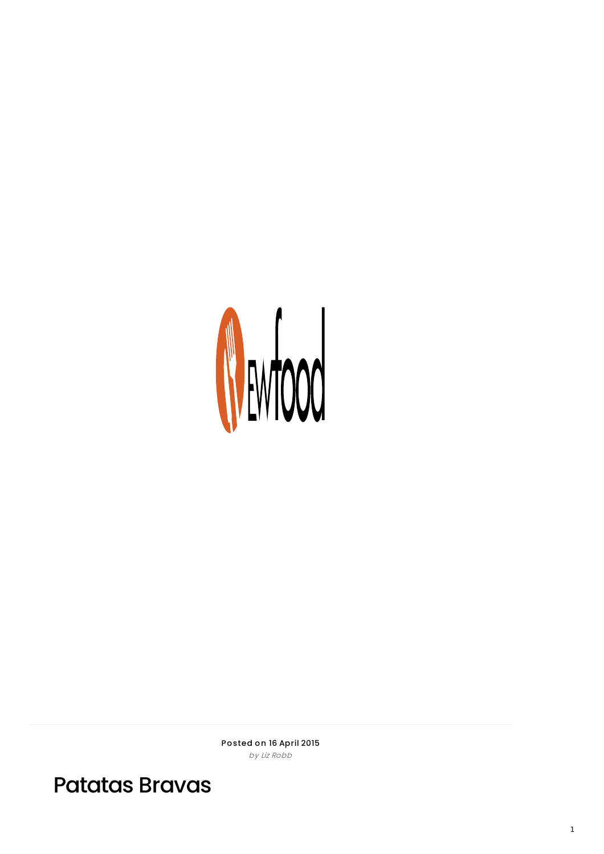

Posted on 16 April 2015 by Liz Robb

Patatas Bravas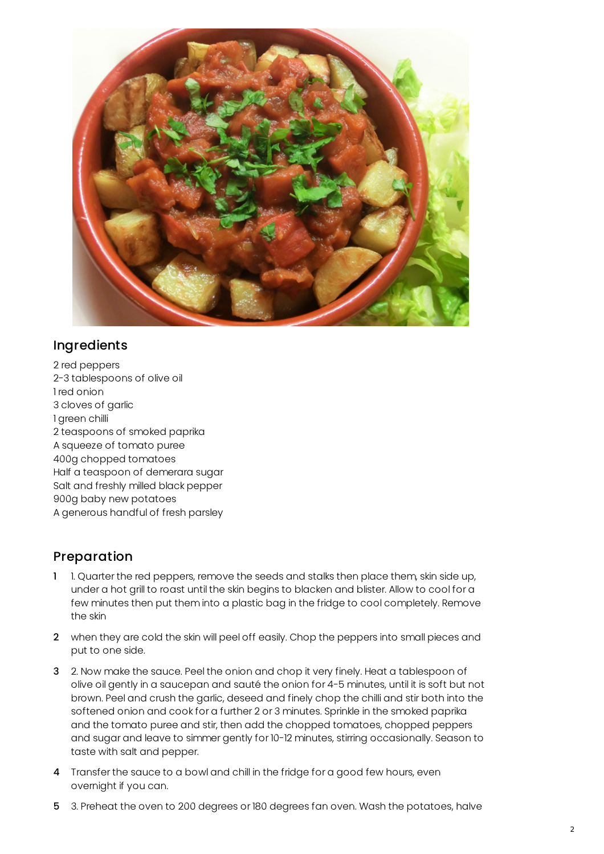

## Ingredients

2 red peppers 2-3 tablespoons of olive oil 1 red onion 3 cloves of garlic 1 green chilli 2 teaspoons of smoked paprika A squeeze of tomato puree 400g chopped tomatoes Half a teaspoon of demerara sugar Salt and freshly milled black pepper 900g baby new potatoes A generous handful of fresh parsley

## Preparation

- 1 1. Quarter the red peppers, remove the seeds and stalks then place them, skin side up, under a hot grill to roast until the skin begins to blacken and blister. Allow to cool for a few minutes then put them into a plastic bag in the fridge to cool completely. Remove the skin
- 2 when they are cold the skin will peel off easily. Chop the peppers into small pieces and put to one side.
- 3 2. Now make the sauce. Peel the onion and chop it very finely. Heat a tablespoon of olive oil gently in a saucepan and sauté the onion for 4-5 minutes, until it is soft but not brown. Peel and crush the garlic, deseed and finely chop the chilli and stir both into the softened onion and cook for a further 2 or 3 minutes. Sprinkle in the smoked paprika and the tomato puree and stir, then add the chopped tomatoes, chopped peppers and sugar and leave to simmer gently for 10-12 minutes, stirring occasionally. Season to taste with salt and pepper.
- 4 Transfer the sauce to a bowl and chill in the fridge for a good few hours, even overnight if you can.
- 5 3. Preheat the oven to 200 degrees or 180 degrees fan oven. Wash the potatoes, halve